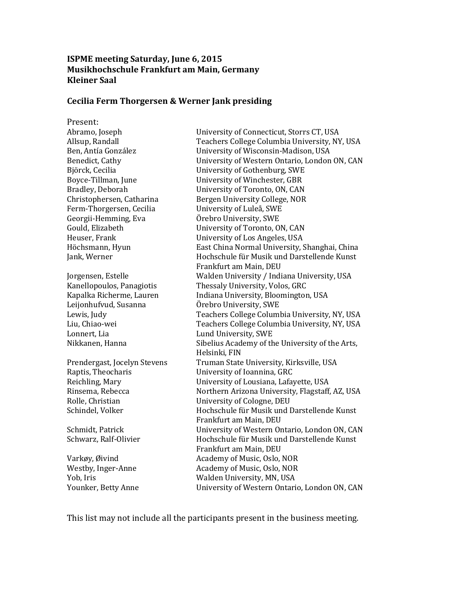#### **ISPME meeting Saturday, June 6, 2015 Musikhochschule Frankfurt am Main, Germany Kleiner Saal**

#### **Cecilia Ferm Thorgersen & Werner Jank presiding**

Present:

Abramo, Joseph University of Connecticut, Storrs CT, USA Allsup, Randall Teachers College Columbia University, NY, USA Ben, Antía González Benedict, Cathy University of Wisconsin-Madison, USA University of Western Ontario, London ON, CAN Björck, Cecilia University of Gothenburg, SWE Boyce-Tillman, June University of Winchester, GBR Bradley, Deborah University of Toronto, ON, CAN Christophersen, Catharina Bergen University College, NOR Ferm-Thorgersen, Cecilia University of Luleå, SWE Georgii-Hemming, Eva Örebro University, SWE Gould, Elizabeth University of Toronto, ON, CAN Heuser, Frank University of Los Angeles, USA Höchsmann, Hyun East China Normal University, Shanghai, China Jank, Werner Hochschule für Musik und Darstellende Kunst Frankfurt am Main, DEU Jorgensen, Estelle Walden University / Indiana University, USA Kanellopoulos, Panagiotis Thessaly University, Volos, GRC Kapalka Richerme, Lauren Indiana University, Bloomington, USA Leijonhufvud, Susanna Örebro University, SWE Lewis, Judy Teachers College Columbia University, NY, USA Liu, Chiao-wei Teachers College Columbia University, NY, USA Lonnert, Lia **Lund University, SWE** Nikkanen, Hanna Sibelius Academy of the University of the Arts, Helsinki, FIN Prendergast, Jocelyn Stevens Truman State University, Kirksville, USA Raptis, Theocharis University of Ioannina, GRC Reichling, Mary University of Lousiana, Lafayette, USA Rinsema, Rebecca Northern Arizona University, Flagstaff, AZ, USA Rolle, Christian University of Cologne, DEU Schindel, Volker Hochschule für Musik und Darstellende Kunst Frankfurt am Main, DEU Schmidt, Patrick University of Western Ontario, London ON, CAN Schwarz, Ralf-Olivier Hochschule für Musik und Darstellende Kunst Frankfurt am Main, DEU Varkøy, Øivind and Academy of Music, Oslo, NOR Westby, Inger-Anne Academy of Music, Oslo, NOR Yob, Iris Walden University, MN, USA Younker, Betty Anne University of Western Ontario, London ON, CAN

This list may not include all the participants present in the business meeting.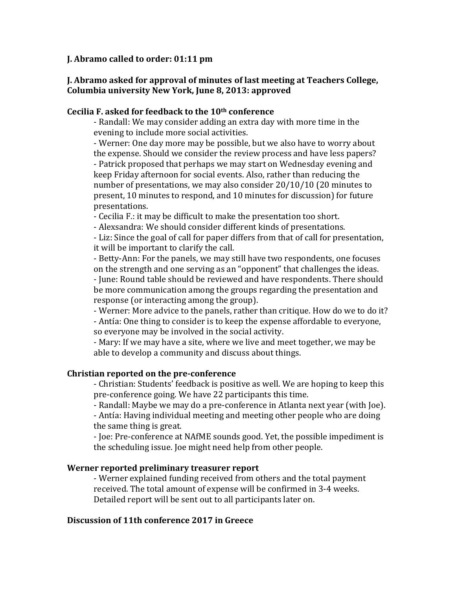#### **J. Abramo called to order: 01:11 pm**

## **J. Abramo asked for approval of minutes of last meeting at Teachers College, Columbia university New York, June 8, 2013: approved**

#### **Cecilia F. asked for feedback to the 10th conference**

- Randall: We may consider adding an extra day with more time in the evening to include more social activities.

- Werner: One day more may be possible, but we also have to worry about the expense. Should we consider the review process and have less papers? - Patrick proposed that perhaps we may start on Wednesday evening and keep Friday afternoon for social events. Also, rather than reducing the number of presentations, we may also consider 20/10/10 (20 minutes to present, 10 minutes to respond, and 10 minutes for discussion) for future presentations.

- Cecilia F.: it may be difficult to make the presentation too short.

- Alexsandra: We should consider different kinds of presentations.

- Liz: Since the goal of call for paper differs from that of call for presentation, it will be important to clarify the call.

- Betty-Ann: For the panels, we may still have two respondents, one focuses on the strength and one serving as an "opponent" that challenges the ideas. - June: Round table should be reviewed and have respondents. There should be more communication among the groups regarding the presentation and response (or interacting among the group).

- Werner: More advice to the panels, rather than critique. How do we to do it? - Antía: One thing to consider is to keep the expense affordable to everyone, so everyone may be involved in the social activity.

- Mary: If we may have a site, where we live and meet together, we may be able to develop a community and discuss about things.

### **Christian reported on the pre-conference**

- Christian: Students' feedback is positive as well. We are hoping to keep this pre-conference going. We have 22 participants this time.

- Randall: Maybe we may do a pre-conference in Atlanta next year (with Joe).

- Antía: Having individual meeting and meeting other people who are doing the same thing is great.

- Joe: Pre-conference at NAfME sounds good. Yet, the possible impediment is the scheduling issue. Joe might need help from other people.

### **Werner reported preliminary treasurer report**

- Werner explained funding received from others and the total payment received. The total amount of expense will be confirmed in 3-4 weeks. Detailed report will be sent out to all participants later on.

### **Discussion of 11th conference 2017 in Greece**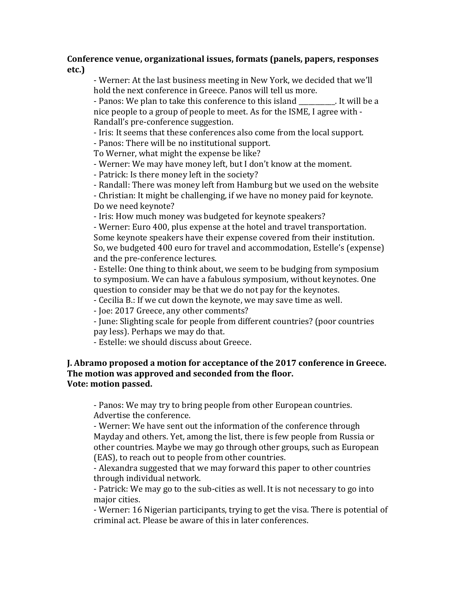## **Conference venue, organizational issues, formats (panels, papers, responses etc.)**

- Werner: At the last business meeting in New York, we decided that we'll hold the next conference in Greece. Panos will tell us more.

- Panos: We plan to take this conference to this island Figure 1. It will be a nice people to a group of people to meet. As for the ISME, I agree with - Randall's pre-conference suggestion.

- Iris: It seems that these conferences also come from the local support.

- Panos: There will be no institutional support.

To Werner, what might the expense be like?

- Werner: We may have money left, but I don't know at the moment.

- Patrick: Is there money left in the society?

- Randall: There was money left from Hamburg but we used on the website

- Christian: It might be challenging, if we have no money paid for keynote. Do we need keynote?

- Iris: How much money was budgeted for keynote speakers?

- Werner: Euro 400, plus expense at the hotel and travel transportation. Some keynote speakers have their expense covered from their institution. So, we budgeted 400 euro for travel and accommodation, Estelle's (expense) and the pre-conference lectures.

- Estelle: One thing to think about, we seem to be budging from symposium to symposium. We can have a fabulous symposium, without keynotes. One question to consider may be that we do not pay for the keynotes.

- Cecilia B.: If we cut down the keynote, we may save time as well.

- Joe: 2017 Greece, any other comments?

- June: Slighting scale for people from different countries? (poor countries pay less). Perhaps we may do that.

- Estelle: we should discuss about Greece.

# **J. Abramo proposed a motion for acceptance of the 2017 conference in Greece. The motion was approved and seconded from the floor. Vote: motion passed.**

- Panos: We may try to bring people from other European countries. Advertise the conference.

- Werner: We have sent out the information of the conference through Mayday and others. Yet, among the list, there is few people from Russia or other countries. Maybe we may go through other groups, such as European (EAS), to reach out to people from other countries.

- Alexandra suggested that we may forward this paper to other countries through individual network.

- Patrick: We may go to the sub-cities as well. It is not necessary to go into major cities.

- Werner: 16 Nigerian participants, trying to get the visa. There is potential of criminal act. Please be aware of this in later conferences.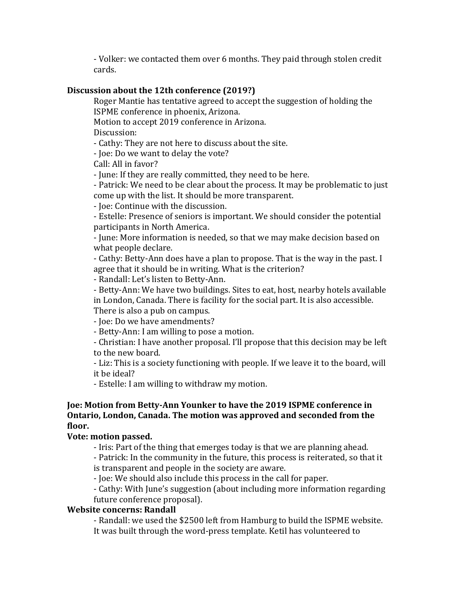- Volker: we contacted them over 6 months. They paid through stolen credit cards.

# **Discussion about the 12th conference (2019?)**

Roger Mantie has tentative agreed to accept the suggestion of holding the ISPME conference in phoenix, Arizona.

Motion to accept 2019 conference in Arizona.

Discussion:

- Cathy: They are not here to discuss about the site.

- Joe: Do we want to delay the vote?

Call: All in favor?

- June: If they are really committed, they need to be here.

- Patrick: We need to be clear about the process. It may be problematic to just come up with the list. It should be more transparent.

- Joe: Continue with the discussion.

- Estelle: Presence of seniors is important. We should consider the potential participants in North America.

- June: More information is needed, so that we may make decision based on what people declare.

- Cathy: Betty-Ann does have a plan to propose. That is the way in the past. I agree that it should be in writing. What is the criterion?

- Randall: Let's listen to Betty-Ann.

- Betty-Ann: We have two buildings. Sites to eat, host, nearby hotels available in London, Canada. There is facility for the social part. It is also accessible. There is also a pub on campus.

- Joe: Do we have amendments?

- Betty-Ann: I am willing to pose a motion.

- Christian: I have another proposal. I'll propose that this decision may be left to the new board.

- Liz: This is a society functioning with people. If we leave it to the board, will it be ideal?

- Estelle: I am willing to withdraw my motion.

### **Joe: Motion from Betty-Ann Younker to have the 2019 ISPME conference in Ontario, London, Canada. The motion was approved and seconded from the floor.**

### **Vote: motion passed.**

- Iris: Part of the thing that emerges today is that we are planning ahead.

- Patrick: In the community in the future, this process is reiterated, so that it is transparent and people in the society are aware.

- Joe: We should also include this process in the call for paper.

- Cathy: With June's suggestion (about including more information regarding future conference proposal).

### **Website concerns: Randall**

- Randall: we used the \$2500 left from Hamburg to build the ISPME website. It was built through the word-press template. Ketil has volunteered to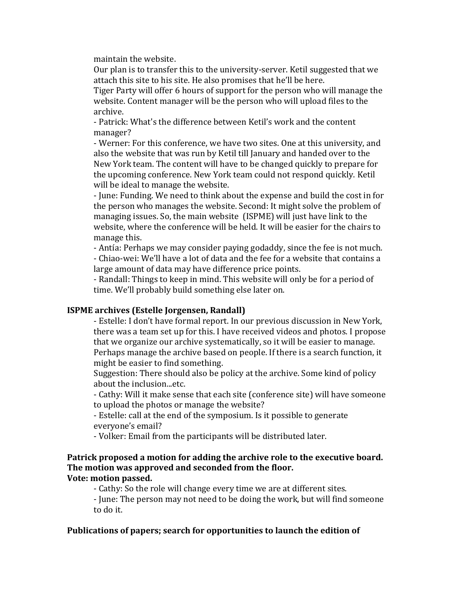maintain the website.

Our plan is to transfer this to the university-server. Ketil suggested that we attach this site to his site. He also promises that he'll be here.

Tiger Party will offer 6 hours of support for the person who will manage the website. Content manager will be the person who will upload files to the archive.

- Patrick: What's the difference between Ketil's work and the content manager?

- Werner: For this conference, we have two sites. One at this university, and also the website that was run by Ketil till January and handed over to the New York team. The content will have to be changed quickly to prepare for the upcoming conference. New York team could not respond quickly. Ketil will be ideal to manage the website.

- June: Funding. We need to think about the expense and build the cost in for the person who manages the website. Second: It might solve the problem of managing issues. So, the main website (ISPME) will just have link to the website, where the conference will be held. It will be easier for the chairs to manage this.

- Antía: Perhaps we may consider paying godaddy, since the fee is not much. - Chiao-wei: We'll have a lot of data and the fee for a website that contains a large amount of data may have difference price points.

- Randall: Things to keep in mind. This website will only be for a period of time. We'll probably build something else later on.

### **ISPME archives (Estelle Jorgensen, Randall)**

- Estelle: I don't have formal report. In our previous discussion in New York, there was a team set up for this. I have received videos and photos. I propose that we organize our archive systematically, so it will be easier to manage. Perhaps manage the archive based on people. If there is a search function, it might be easier to find something.

Suggestion: There should also be policy at the archive. Some kind of policy about the inclusion...etc.

- Cathy: Will it make sense that each site (conference site) will have someone to upload the photos or manage the website?

- Estelle: call at the end of the symposium. Is it possible to generate everyone's email?

- Volker: Email from the participants will be distributed later.

#### **Patrick proposed a motion for adding the archive role to the executive board. The motion was approved and seconded from the floor. Vote: motion passed.**

- Cathy: So the role will change every time we are at different sites.

- June: The person may not need to be doing the work, but will find someone to do it.

### **Publications of papers; search for opportunities to launch the edition of**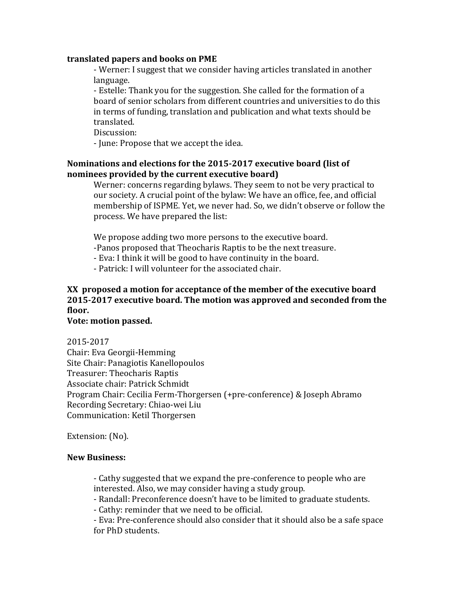#### **translated papers and books on PME**

- Werner: I suggest that we consider having articles translated in another language.

- Estelle: Thank you for the suggestion. She called for the formation of a board of senior scholars from different countries and universities to do this in terms of funding, translation and publication and what texts should be translated.

Discussion:

- June: Propose that we accept the idea.

### **Nominations and elections for the 2015-2017 executive board (list of nominees provided by the current executive board)**

Werner: concerns regarding bylaws. They seem to not be very practical to our society. A crucial point of the bylaw: We have an office, fee, and official membership of ISPME. Yet, we never had. So, we didn't observe or follow the process. We have prepared the list:

We propose adding two more persons to the executive board.

-Panos proposed that Theocharis Raptis to be the next treasure.

- Eva: I think it will be good to have continuity in the board.

- Patrick: I will volunteer for the associated chair.

# **XX proposed a motion for acceptance of the member of the executive board 2015-2017 executive board. The motion was approved and seconded from the floor.**

#### **Vote: motion passed.**

2015-2017 Chair: Eva Georgii-Hemming Site Chair: Panagiotis Kanellopoulos Treasurer: Theocharis Raptis Associate chair: Patrick Schmidt Program Chair: Cecilia Ferm-Thorgersen (+pre-conference) & Joseph Abramo Recording Secretary: Chiao-wei Liu Communication: Ketil Thorgersen

Extension: (No).

### **New Business:**

- Cathy suggested that we expand the pre-conference to people who are interested. Also, we may consider having a study group.

- Randall: Preconference doesn't have to be limited to graduate students.

- Cathy: reminder that we need to be official.

- Eva: Pre-conference should also consider that it should also be a safe space for PhD students.